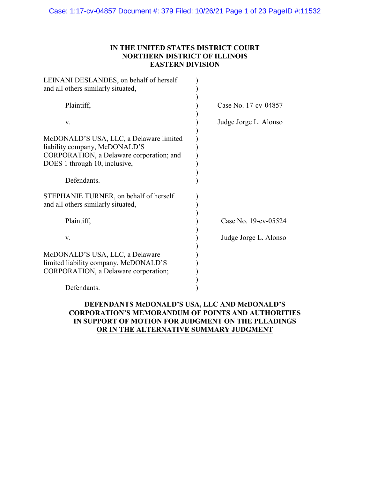### **IN THE UNITED STATES DISTRICT COURT NORTHERN DISTRICT OF ILLINOIS EASTERN DIVISION**

| LEINANI DESLANDES, on behalf of herself<br>and all others similarly situated,                                                                                        |                       |
|----------------------------------------------------------------------------------------------------------------------------------------------------------------------|-----------------------|
| Plaintiff,                                                                                                                                                           | Case No. 17-cv-04857  |
| V.                                                                                                                                                                   | Judge Jorge L. Alonso |
| McDONALD'S USA, LLC, a Delaware limited<br>liability company, McDONALD'S<br>CORPORATION, a Delaware corporation; and<br>DOES 1 through 10, inclusive,<br>Defendants. |                       |
| STEPHANIE TURNER, on behalf of herself<br>and all others similarly situated,                                                                                         |                       |
| Plaintiff,                                                                                                                                                           | Case No. 19-cv-05524  |
| V.                                                                                                                                                                   | Judge Jorge L. Alonso |
| McDONALD'S USA, LLC, a Delaware<br>limited liability company, McDONALD'S<br>CORPORATION, a Delaware corporation;                                                     |                       |
| Defendants.                                                                                                                                                          |                       |

### **DEFENDANTS McDONALD'S USA, LLC AND McDONALD'S CORPORATION'S MEMORANDUM OF POINTS AND AUTHORITIES IN SUPPORT OF MOTION FOR JUDGMENT ON THE PLEADINGS OR IN THE ALTERNATIVE SUMMARY JUDGMENT**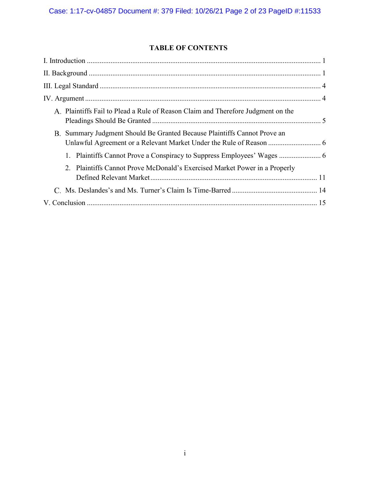# **TABLE OF CONTENTS**

| A. Plaintiffs Fail to Plead a Rule of Reason Claim and Therefore Judgment on the |  |
|----------------------------------------------------------------------------------|--|
| B. Summary Judgment Should Be Granted Because Plaintiffs Cannot Prove an         |  |
|                                                                                  |  |
| 2. Plaintiffs Cannot Prove McDonald's Exercised Market Power in a Properly       |  |
|                                                                                  |  |
|                                                                                  |  |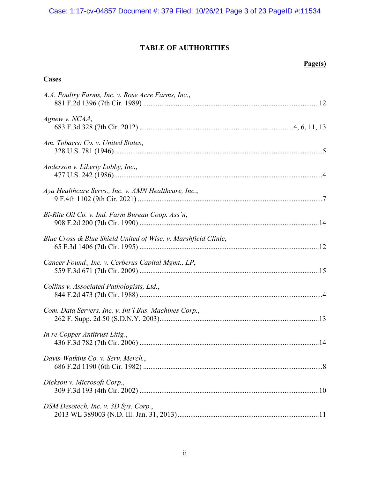# **TABLE OF AUTHORITIES**

### **Page(s)**

### **Cases**

| A.A. Poultry Farms, Inc. v. Rose Acre Farms, Inc.,             |
|----------------------------------------------------------------|
| Agnew v. NCAA,                                                 |
| Am. Tobacco Co. v. United States,                              |
| Anderson v. Liberty Lobby, Inc.,                               |
| Aya Healthcare Servs., Inc. v. AMN Healthcare, Inc.,           |
| Bi-Rite Oil Co. v. Ind. Farm Bureau Coop. Ass'n,               |
| Blue Cross & Blue Shield United of Wisc. v. Marshfield Clinic, |
| Cancer Found., Inc. v. Cerberus Capital Mgmt., LP,             |
| Collins v. Associated Pathologists, Ltd.,                      |
| Com. Data Servers, Inc. v. Int'l Bus. Machines Corp.,          |
| In re Copper Antitrust Litig.,                                 |
| Davis-Watkins Co. v. Serv. Merch.,                             |
| Dickson v. Microsoft Corp.,                                    |
| DSM Desotech, Inc. v. 3D Sys. Corp.,                           |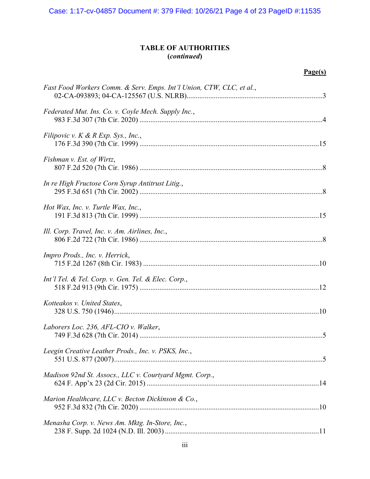Case: 1:17-cv-04857 Document #: 379 Filed: 10/26/21 Page 4 of 23 PageID #:11535

### **TABLE OF AUTHORITIES (***continued***)**

## **Page(s)**

| Fast Food Workers Comm. & Serv. Emps. Int'l Union, CTW, CLC, et al., |
|----------------------------------------------------------------------|
| Federated Mut. Ins. Co. v. Coyle Mech. Supply Inc.,                  |
| Filipovic v. $K \& R \, Exp. \, Sys., Inc.,$                         |
| Fishman v. Est. of Wirtz,                                            |
| In re High Fructose Corn Syrup Antitrust Litig.,                     |
| Hot Wax, Inc. v. Turtle Wax, Inc.,                                   |
| Ill. Corp. Travel, Inc. v. Am. Airlines, Inc.,                       |
| Impro Prods., Inc. v. Herrick,                                       |
| Int'l Tel. & Tel. Corp. v. Gen. Tel. & Elec. Corp.,                  |
| Kotteakos v. United States,                                          |
| Laborers Loc. 236, AFL-CIO v. Walker,                                |
| Leegin Creative Leather Prods., Inc. v. PSKS, Inc.,                  |
| Madison 92nd St. Assocs., LLC v. Courtyard Mgmt. Corp.,              |
| Marion Healthcare, LLC v. Becton Dickinson & Co.,                    |
| Menasha Corp. v. News Am. Mktg. In-Store, Inc.,                      |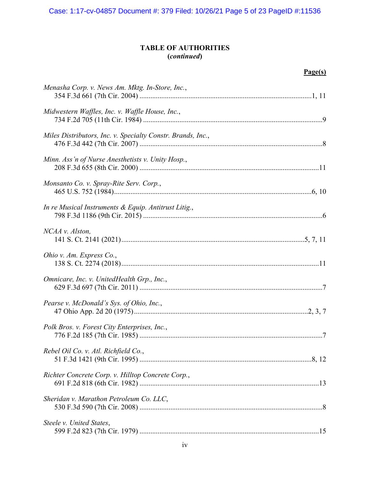### **TABLE OF AUTHORITIES (***continued***)**

## **Page(s)**

| Menasha Corp. v. News Am. Mktg. In-Store, Inc.,             |
|-------------------------------------------------------------|
| Midwestern Waffles, Inc. v. Waffle House, Inc.,             |
| Miles Distributors, Inc. v. Specialty Constr. Brands, Inc., |
| Minn. Ass'n of Nurse Anesthetists v. Unity Hosp.,           |
| Monsanto Co. v. Spray-Rite Serv. Corp.,                     |
| In re Musical Instruments & Equip. Antitrust Litig.,        |
| NCAA v. Alston,                                             |
| Ohio v. Am. Express Co.,                                    |
| Omnicare, Inc. v. UnitedHealth Grp., Inc.,                  |
| Pearse v. McDonald's Sys. of Ohio, Inc.,                    |
| Polk Bros. v. Forest City Enterprises, Inc.,                |
| Rebel Oil Co. v. Atl. Richfield Co.,                        |
| Richter Concrete Corp. v. Hilltop Concrete Corp.,           |
| Sheridan v. Marathon Petroleum Co. LLC,                     |
| Steele v. United States,                                    |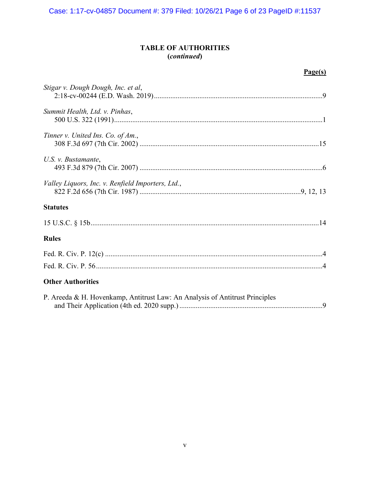Case: 1:17-cv-04857 Document #: 379 Filed: 10/26/21 Page 6 of 23 PageID #:11537

### **TABLE OF AUTHORITIES (***continued***)**

## **Page(s)**

| Stigar v. Dough Dough, Inc. et al,                                           |
|------------------------------------------------------------------------------|
| Summit Health, Ltd. v. Pinhas,                                               |
| Tinner v. United Ins. Co. of Am.,                                            |
| U.S. v. Bustamante,                                                          |
| Valley Liquors, Inc. v. Renfield Importers, Ltd.,                            |
| <b>Statutes</b>                                                              |
|                                                                              |
| <b>Rules</b>                                                                 |
|                                                                              |
| <b>Other Authorities</b>                                                     |
| P. Areeda & H. Hovenkamp, Antitrust Law: An Analysis of Antitrust Principles |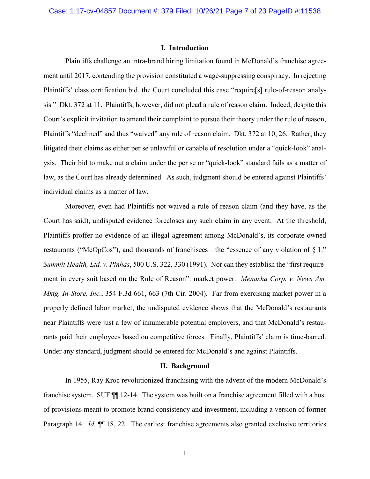#### <span id="page-6-0"></span>**I. Introduction**

Plaintiffs challenge an intra-brand hiring limitation found in McDonald's franchise agreement until 2017, contending the provision constituted a wage-suppressing conspiracy. In rejecting Plaintiffs' class certification bid, the Court concluded this case "require[s] rule-of-reason analysis." Dkt. 372 at 11. Plaintiffs, however, did not plead a rule of reason claim. Indeed, despite this Court's explicit invitation to amend their complaint to pursue their theory under the rule of reason, Plaintiffs "declined" and thus "waived" any rule of reason claim. Dkt. 372 at 10, 26. Rather, they litigated their claims as either per se unlawful or capable of resolution under a "quick-look" analysis. Their bid to make out a claim under the per se or "quick-look" standard fails as a matter of law, as the Court has already determined. As such, judgment should be entered against Plaintiffs' individual claims as a matter of law.

<span id="page-6-3"></span>Moreover, even had Plaintiffs not waived a rule of reason claim (and they have, as the Court has said), undisputed evidence forecloses any such claim in any event. At the threshold, Plaintiffs proffer no evidence of an illegal agreement among McDonald's, its corporate-owned restaurants ("McOpCos"), and thousands of franchisees—the "essence of any violation of § 1." *Summit Health, Ltd. v. Pinhas*, 500 U.S. 322, 330 (1991). Nor can they establish the "first requirement in every suit based on the Rule of Reason": market power. *Menasha Corp. v. News Am. Mktg. In-Store, Inc.*, 354 F.3d 661, 663 (7th Cir. 2004). Far from exercising market power in a properly defined labor market, the undisputed evidence shows that the McDonald's restaurants near Plaintiffs were just a few of innumerable potential employers, and that McDonald's restaurants paid their employees based on competitive forces. Finally, Plaintiffs' claim is time-barred. Under any standard, judgment should be entered for McDonald's and against Plaintiffs.

#### <span id="page-6-2"></span><span id="page-6-1"></span>**II. Background**

In 1955, Ray Kroc revolutionized franchising with the advent of the modern McDonald's franchise system. SUF ¶¶ 12-14. The system was built on a franchise agreement filled with a host of provisions meant to promote brand consistency and investment, including a version of former Paragraph 14. *Id.* ¶¶ 18, 22. The earliest franchise agreements also granted exclusive territories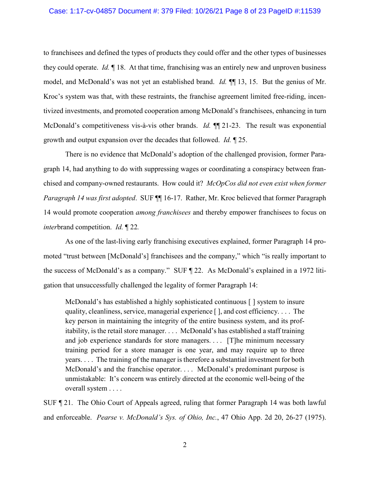to franchisees and defined the types of products they could offer and the other types of businesses they could operate. *Id.* ¶ 18. At that time, franchising was an entirely new and unproven business model, and McDonald's was not yet an established brand. *Id.* ¶¶ 13, 15. But the genius of Mr. Kroc's system was that, with these restraints, the franchise agreement limited free-riding, incentivized investments, and promoted cooperation among McDonald's franchisees, enhancing in turn McDonald's competitiveness vis-à-vis other brands. *Id.* ¶¶ 21-23. The result was exponential growth and output expansion over the decades that followed. *Id.* ¶ 25.

There is no evidence that McDonald's adoption of the challenged provision, former Paragraph 14, had anything to do with suppressing wages or coordinating a conspiracy between franchised and company-owned restaurants. How could it? *McOpCos did not even exist when former Paragraph 14 was first adopted*. SUF ¶¶ 16-17. Rather, Mr. Kroc believed that former Paragraph 14 would promote cooperation *among franchisees* and thereby empower franchisees to focus on *inter*brand competition. *Id.* ¶ 22*.*

As one of the last-living early franchising executives explained, former Paragraph 14 promoted "trust between [McDonald's] franchisees and the company," which "is really important to the success of McDonald's as a company." SUF ¶ 22. As McDonald's explained in a 1972 litigation that unsuccessfully challenged the legality of former Paragraph 14:

McDonald's has established a highly sophisticated continuous [ ] system to insure quality, cleanliness, service, managerial experience [ ], and cost efficiency. . . . The key person in maintaining the integrity of the entire business system, and its profitability, is the retail store manager. . . . McDonald's has established a staff training and job experience standards for store managers. . . . [T]he minimum necessary training period for a store manager is one year, and may require up to three years. . . . The training of the manager is therefore a substantial investment for both McDonald's and the franchise operator. . . . McDonald's predominant purpose is unmistakable: It's concern was entirely directed at the economic well-being of the overall system . . . .

<span id="page-7-0"></span>SUF ¶ 21. The Ohio Court of Appeals agreed, ruling that former Paragraph 14 was both lawful and enforceable. *Pearse v. McDonald's Sys. of Ohio, Inc.*, 47 Ohio App. 2d 20, 26-27 (1975).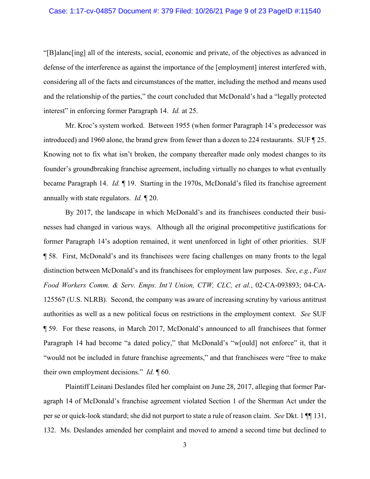#### Case: 1:17-cv-04857 Document #: 379 Filed: 10/26/21 Page 9 of 23 PageID #:11540

"[B]alanc[ing] all of the interests, social, economic and private, of the objectives as advanced in defense of the interference as against the importance of the [employment] interest interfered with, considering all of the facts and circumstances of the matter, including the method and means used and the relationship of the parties," the court concluded that McDonald's had a "legally protected interest" in enforcing former Paragraph 14. *Id.* at 25.

<span id="page-8-1"></span>Mr. Kroc's system worked. Between 1955 (when former Paragraph 14's predecessor was introduced) and 1960 alone, the brand grew from fewer than a dozen to 224 restaurants. SUF ¶ 25. Knowing not to fix what isn't broken, the company thereafter made only modest changes to its founder's groundbreaking franchise agreement, including virtually no changes to what eventually became Paragraph 14. *Id.* ¶ 19. Starting in the 1970s, McDonald's filed its franchise agreement annually with state regulators. *Id.* ¶ 20.

<span id="page-8-0"></span>By 2017, the landscape in which McDonald's and its franchisees conducted their businesses had changed in various ways. Although all the original procompetitive justifications for former Paragraph 14's adoption remained, it went unenforced in light of other priorities. SUF ¶ 58. First, McDonald's and its franchisees were facing challenges on many fronts to the legal distinction between McDonald's and its franchisees for employment law purposes. *See*, *e.g.*, *Fast Food Workers Comm. & Serv. Emps. Int'l Union, CTW, CLC, et al.*, 02-CA-093893; 04-CA-125567 (U.S. NLRB). Second, the company was aware of increasing scrutiny by various antitrust authorities as well as a new political focus on restrictions in the employment context. *See* SUF ¶ 59. For these reasons, in March 2017, McDonald's announced to all franchisees that former Paragraph 14 had become "a dated policy," that McDonald's "w[ould] not enforce" it, that it "would not be included in future franchise agreements," and that franchisees were "free to make their own employment decisions." *Id.* ¶ 60.

Plaintiff Leinani Deslandes filed her complaint on June 28, 2017, alleging that former Paragraph 14 of McDonald's franchise agreement violated Section 1 of the Sherman Act under the per se or quick-look standard; she did not purport to state a rule of reason claim. *See* Dkt. 1 ¶¶ 131, 132. Ms. Deslandes amended her complaint and moved to amend a second time but declined to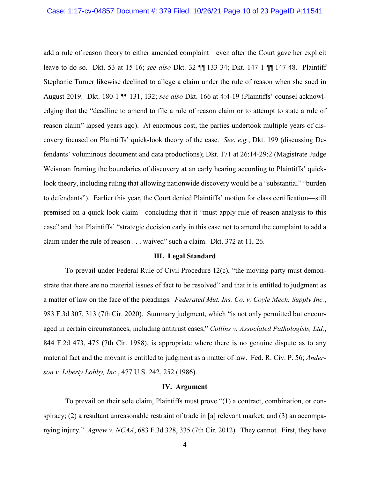add a rule of reason theory to either amended complaint—even after the Court gave her explicit leave to do so. Dkt. 53 at 15-16; *see also* Dkt. 32 ¶¶ 133-34; Dkt. 147-1 ¶¶ 147-48. Plaintiff Stephanie Turner likewise declined to allege a claim under the rule of reason when she sued in August 2019. Dkt. 180-1 ¶¶ 131, 132; *see also* Dkt. 166 at 4:4-19 (Plaintiffs' counsel acknowledging that the "deadline to amend to file a rule of reason claim or to attempt to state a rule of reason claim" lapsed years ago). At enormous cost, the parties undertook multiple years of discovery focused on Plaintiffs' quick-look theory of the case. *See*, *e.g.*, Dkt. 199 (discussing Defendants' voluminous document and data productions); Dkt. 171 at 26:14-29:2 (Magistrate Judge Weisman framing the boundaries of discovery at an early hearing according to Plaintiffs' quicklook theory, including ruling that allowing nationwide discovery would be a "substantial" "burden to defendants"). Earlier this year, the Court denied Plaintiffs' motion for class certification—still premised on a quick-look claim—concluding that it "must apply rule of reason analysis to this case" and that Plaintiffs' "strategic decision early in this case not to amend the complaint to add a claim under the rule of reason . . . waived" such a claim. Dkt. 372 at 11, 26.

#### <span id="page-9-5"></span><span id="page-9-0"></span>**III. Legal Standard**

To prevail under Federal Rule of Civil Procedure 12(c), "the moving party must demonstrate that there are no material issues of fact to be resolved" and that it is entitled to judgment as a matter of law on the face of the pleadings. *Federated Mut. Ins. Co. v. Coyle Mech. Supply Inc.*, 983 F.3d 307, 313 (7th Cir. 2020). Summary judgment, which "is not only permitted but encouraged in certain circumstances, including antitrust cases," *Collins v. Associated Pathologists, Ltd.*, 844 F.2d 473, 475 (7th Cir. 1988), is appropriate where there is no genuine dispute as to any material fact and the movant is entitled to judgment as a matter of law. Fed. R. Civ. P. 56; *Anderson v. Liberty Lobby, Inc*., 477 U.S. 242, 252 (1986).

#### <span id="page-9-6"></span><span id="page-9-4"></span><span id="page-9-3"></span><span id="page-9-1"></span>**IV. Argument**

<span id="page-9-2"></span>To prevail on their sole claim, Plaintiffs must prove "(1) a contract, combination, or conspiracy; (2) a resultant unreasonable restraint of trade in [a] relevant market; and (3) an accompanying injury." *Agnew v. NCAA*, 683 F.3d 328, 335 (7th Cir. 2012). They cannot. First, they have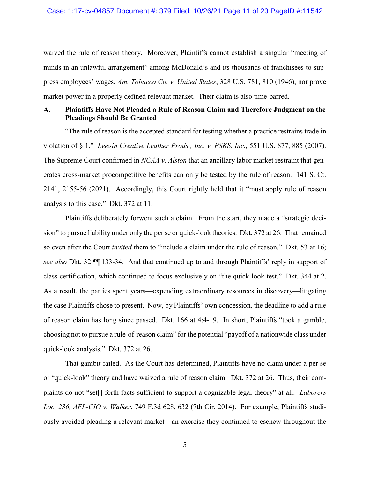<span id="page-10-1"></span>waived the rule of reason theory. Moreover, Plaintiffs cannot establish a singular "meeting of minds in an unlawful arrangement" among McDonald's and its thousands of franchisees to suppress employees' wages, *Am. Tobacco Co. v. United States*, 328 U.S. 781, 810 (1946), nor prove market power in a properly defined relevant market. Their claim is also time-barred.

#### <span id="page-10-0"></span>**Plaintiffs Have Not Pleaded a Rule of Reason Claim and Therefore Judgment on the**  A. **Pleadings Should Be Granted**

<span id="page-10-4"></span><span id="page-10-3"></span>"The rule of reason is the accepted standard for testing whether a practice restrains trade in violation of § 1." *Leegin Creative Leather Prods., Inc. v. PSKS, Inc.*, 551 U.S. 877, 885 (2007). The Supreme Court confirmed in *NCAA v. Alston* that an ancillary labor market restraint that generates cross-market procompetitive benefits can only be tested by the rule of reason. 141 S. Ct. 2141, 2155-56 (2021). Accordingly, this Court rightly held that it "must apply rule of reason analysis to this case." Dkt. 372 at 11.

Plaintiffs deliberately forwent such a claim. From the start, they made a "strategic decision" to pursue liability under only the per se or quick-look theories. Dkt. 372 at 26. That remained so even after the Court *invited* them to "include a claim under the rule of reason." Dkt. 53 at 16; *see also* Dkt. 32 ¶¶ 133-34. And that continued up to and through Plaintiffs' reply in support of class certification, which continued to focus exclusively on "the quick-look test." Dkt. 344 at 2. As a result, the parties spent years—expending extraordinary resources in discovery—litigating the case Plaintiffs chose to present. Now, by Plaintiffs' own concession, the deadline to add a rule of reason claim has long since passed. Dkt. 166 at 4:4-19. In short, Plaintiffs "took a gamble, choosing not to pursue a rule-of-reason claim" for the potential "payoff of a nationwide class under quick-look analysis." Dkt. 372 at 26.

<span id="page-10-2"></span>That gambit failed. As the Court has determined, Plaintiffs have no claim under a per se or "quick-look" theory and have waived a rule of reason claim. Dkt. 372 at 26. Thus, their complaints do not "set[] forth facts sufficient to support a cognizable legal theory" at all. *Laborers Loc. 236, AFL-CIO v. Walker*, 749 F.3d 628, 632 (7th Cir. 2014). For example, Plaintiffs studiously avoided pleading a relevant market—an exercise they continued to eschew throughout the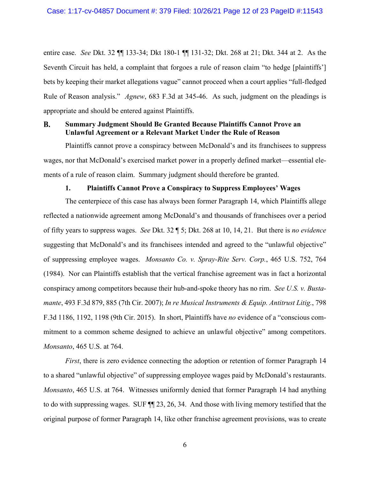entire case. *See* Dkt. 32 ¶¶ 133-34; Dkt 180-1 ¶¶ 131-32; Dkt. 268 at 21; Dkt. 344 at 2. As the Seventh Circuit has held, a complaint that forgoes a rule of reason claim "to hedge [plaintiffs'] bets by keeping their market allegations vague" cannot proceed when a court applies "full-fledged Rule of Reason analysis." *Agnew*, 683 F.3d at 345-46. As such, judgment on the pleadings is appropriate and should be entered against Plaintiffs.

#### <span id="page-11-2"></span><span id="page-11-0"></span>**B. Summary Judgment Should Be Granted Because Plaintiffs Cannot Prove an Unlawful Agreement or a Relevant Market Under the Rule of Reason**

Plaintiffs cannot prove a conspiracy between McDonald's and its franchisees to suppress wages, nor that McDonald's exercised market power in a properly defined market—essential elements of a rule of reason claim. Summary judgment should therefore be granted.

### <span id="page-11-5"></span><span id="page-11-3"></span>**1. Plaintiffs Cannot Prove a Conspiracy to Suppress Employees' Wages**

<span id="page-11-1"></span>The centerpiece of this case has always been former Paragraph 14, which Plaintiffs allege reflected a nationwide agreement among McDonald's and thousands of franchisees over a period of fifty years to suppress wages. *See* Dkt. 32 ¶ 5; Dkt. 268 at 10, 14, 21. But there is *no evidence* suggesting that McDonald's and its franchisees intended and agreed to the "unlawful objective" of suppressing employee wages. *Monsanto Co. v. Spray-Rite Serv. Corp.*, 465 U.S. 752, 764 (1984). Nor can Plaintiffs establish that the vertical franchise agreement was in fact a horizontal conspiracy among competitors because their hub-and-spoke theory has no rim. *See U.S. v. Bustamante*, 493 F.3d 879, 885 (7th Cir. 2007); *In re Musical Instruments & Equip. Antitrust Litig.*, 798 F.3d 1186, 1192, 1198 (9th Cir. 2015). In short, Plaintiffs have *no* evidence of a "conscious commitment to a common scheme designed to achieve an unlawful objective" among competitors. *Monsanto*, 465 U.S. at 764.

<span id="page-11-4"></span>*First*, there is zero evidence connecting the adoption or retention of former Paragraph 14 to a shared "unlawful objective" of suppressing employee wages paid by McDonald's restaurants. *Monsanto*, 465 U.S. at 764. Witnesses uniformly denied that former Paragraph 14 had anything to do with suppressing wages. SUF ¶¶ 23, 26, 34. And those with living memory testified that the original purpose of former Paragraph 14, like other franchise agreement provisions, was to create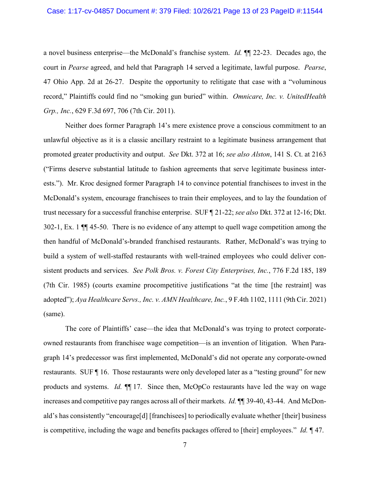#### Case: 1:17-cv-04857 Document #: 379 Filed: 10/26/21 Page 13 of 23 PageID #:11544

<span id="page-12-3"></span>a novel business enterprise—the McDonald's franchise system. *Id.* ¶¶ 22-23. Decades ago, the court in *Pearse* agreed, and held that Paragraph 14 served a legitimate, lawful purpose. *Pearse*, 47 Ohio App. 2d at 26-27. Despite the opportunity to relitigate that case with a "voluminous record," Plaintiffs could find no "smoking gun buried" within. *Omnicare, Inc. v. UnitedHealth Grp., Inc.*, 629 F.3d 697, 706 (7th Cir. 2011).

<span id="page-12-2"></span><span id="page-12-1"></span>Neither does former Paragraph 14's mere existence prove a conscious commitment to an unlawful objective as it is a classic ancillary restraint to a legitimate business arrangement that promoted greater productivity and output. *See* Dkt. 372 at 16; *see also Alston*, 141 S. Ct. at 2163 ("Firms deserve substantial latitude to fashion agreements that serve legitimate business interests."). Mr. Kroc designed former Paragraph 14 to convince potential franchisees to invest in the McDonald's system, encourage franchisees to train their employees, and to lay the foundation of trust necessary for a successful franchise enterprise. SUF ¶ 21-22; *see also* Dkt. 372 at 12-16; Dkt. 302-1, Ex. 1 ¶¶ 45-50. There is no evidence of any attempt to quell wage competition among the then handful of McDonald's-branded franchised restaurants. Rather, McDonald's was trying to build a system of well-staffed restaurants with well-trained employees who could deliver consistent products and services. *See Polk Bros. v. Forest City Enterprises, Inc.*, 776 F.2d 185, 189 (7th Cir. 1985) (courts examine procompetitive justifications "at the time [the restraint] was adopted"); *Aya Healthcare Servs., Inc. v. AMN Healthcare, Inc.*, 9 F.4th 1102, 1111 (9th Cir. 2021) (same).

<span id="page-12-4"></span><span id="page-12-0"></span>The core of Plaintiffs' case—the idea that McDonald's was trying to protect corporateowned restaurants from franchisee wage competition—is an invention of litigation. When Paragraph 14's predecessor was first implemented, McDonald's did not operate any corporate-owned restaurants. SUF ¶ 16. Those restaurants were only developed later as a "testing ground" for new products and systems. *Id.* ¶¶ 17. Since then, McOpCo restaurants have led the way on wage increases and competitive pay ranges across all of their markets. *Id.* ¶¶ 39-40, 43-44. And McDonald's has consistently "encourage[d] [franchisees] to periodically evaluate whether [their] business is competitive, including the wage and benefits packages offered to [their] employees." *Id.* ¶ 47.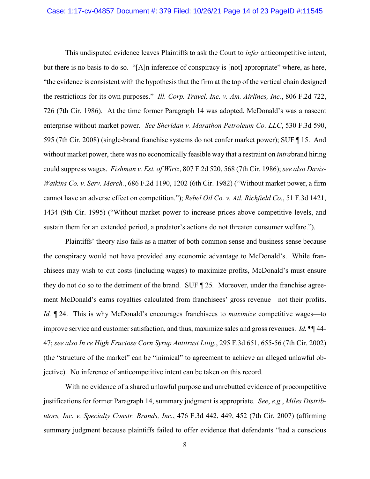<span id="page-13-6"></span><span id="page-13-3"></span>This undisputed evidence leaves Plaintiffs to ask the Court to *infer* anticompetitive intent, but there is no basis to do so. "[A]n inference of conspiracy is [not] appropriate" where, as here, "the evidence is consistent with the hypothesis that the firm at the top of the vertical chain designed the restrictions for its own purposes." *Ill. Corp. Travel, Inc. v. Am. Airlines, Inc.*, 806 F.2d 722, 726 (7th Cir. 1986). At the time former Paragraph 14 was adopted, McDonald's was a nascent enterprise without market power. *See Sheridan v. Marathon Petroleum Co. LLC*, 530 F.3d 590, 595 (7th Cir. 2008) (single-brand franchise systems do not confer market power); SUF ¶ 15. And without market power, there was no economically feasible way that a restraint on *intra*brand hiring could suppress wages. *Fishman v. Est. of Wirtz*, 807 F.2d 520, 568 (7th Cir. 1986); *see also Davis-Watkins Co. v. Serv. Merch.*, 686 F.2d 1190, 1202 (6th Cir. 1982) ("Without market power, a firm cannot have an adverse effect on competition."); *Rebel Oil Co. v. Atl. Richfield Co.*, 51 F.3d 1421, 1434 (9th Cir. 1995) ("Without market power to increase prices above competitive levels, and sustain them for an extended period, a predator's actions do not threaten consumer welfare.").

<span id="page-13-5"></span><span id="page-13-1"></span><span id="page-13-0"></span>Plaintiffs' theory also fails as a matter of both common sense and business sense because the conspiracy would not have provided any economic advantage to McDonald's. While franchisees may wish to cut costs (including wages) to maximize profits, McDonald's must ensure they do not do so to the detriment of the brand. SUF ¶ 25*.* Moreover, under the franchise agreement McDonald's earns royalties calculated from franchisees' gross revenue—not their profits. *Id.* ¶ 24. This is why McDonald's encourages franchisees to *maximize* competitive wages—to improve service and customer satisfaction, and thus, maximize sales and gross revenues. *Id.* ¶¶ 44- 47; *see also In re High Fructose Corn Syrup Antitrust Litig.*, 295 F.3d 651, 655-56 (7th Cir. 2002) (the "structure of the market" can be "inimical" to agreement to achieve an alleged unlawful objective). No inference of anticompetitive intent can be taken on this record.

<span id="page-13-4"></span><span id="page-13-2"></span>With no evidence of a shared unlawful purpose and unrebutted evidence of procompetitive justifications for former Paragraph 14, summary judgment is appropriate. *See*, *e.g.*, *Miles Distributors, Inc. v. Specialty Constr. Brands, Inc.*, 476 F.3d 442, 449, 452 (7th Cir. 2007) (affirming summary judgment because plaintiffs failed to offer evidence that defendants "had a conscious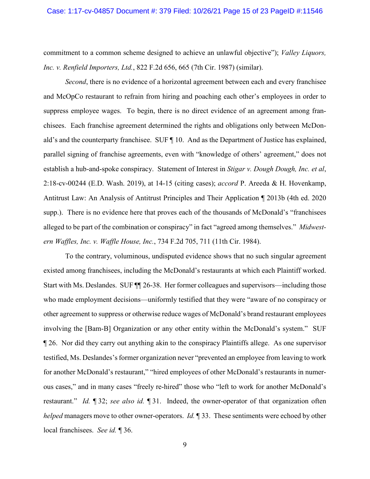<span id="page-14-2"></span>commitment to a common scheme designed to achieve an unlawful objective"); *Valley Liquors, Inc. v. Renfield Importers, Ltd.*, 822 F.2d 656, 665 (7th Cir. 1987) (similar).

<span id="page-14-1"></span>*Second*, there is no evidence of a horizontal agreement between each and every franchisee and McOpCo restaurant to refrain from hiring and poaching each other's employees in order to suppress employee wages. To begin, there is no direct evidence of an agreement among franchisees. Each franchise agreement determined the rights and obligations only between McDonald's and the counterparty franchisee. SUF ¶ 10. And as the Department of Justice has explained, parallel signing of franchise agreements, even with "knowledge of others' agreement," does not establish a hub-and-spoke conspiracy. Statement of Interest in *Stigar v. Dough Dough, Inc. et al*, 2:18-cv-00244 (E.D. Wash. 2019), at 14-15 (citing cases); *accord* P. Areeda & H. Hovenkamp, Antitrust Law: An Analysis of Antitrust Principles and Their Application ¶ 2013b (4th ed. 2020 supp.). There is no evidence here that proves each of the thousands of McDonald's "franchisees alleged to be part of the combination or conspiracy" in fact "agreed among themselves." *Midwestern Waffles, Inc. v. Waffle House, Inc.*, 734 F.2d 705, 711 (11th Cir. 1984).

<span id="page-14-3"></span><span id="page-14-0"></span>To the contrary, voluminous, undisputed evidence shows that no such singular agreement existed among franchisees, including the McDonald's restaurants at which each Plaintiff worked. Start with Ms. Deslandes. SUF ¶¶ 26-38. Her former colleagues and supervisors—including those who made employment decisions—uniformly testified that they were "aware of no conspiracy or other agreement to suppress or otherwise reduce wages of McDonald's brand restaurant employees involving the [Bam-B] Organization or any other entity within the McDonald's system." SUF ¶ 26. Nor did they carry out anything akin to the conspiracy Plaintiffs allege. As one supervisor testified, Ms. Deslandes's former organization never "prevented an employee from leaving to work for another McDonald's restaurant," "hired employees of other McDonald's restaurants in numerous cases," and in many cases "freely re-hired" those who "left to work for another McDonald's restaurant." *Id.* ¶ 32; *see also id.* ¶ 31. Indeed, the owner-operator of that organization often *helped* managers move to other owner-operators. *Id.* ¶ 33. These sentiments were echoed by other local franchisees. *See id.* ¶ 36.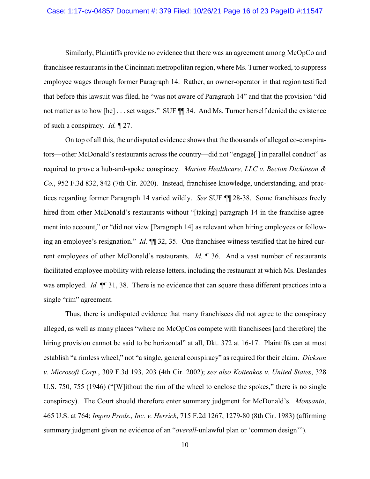#### Case: 1:17-cv-04857 Document #: 379 Filed: 10/26/21 Page 16 of 23 PageID #:11547

Similarly, Plaintiffs provide no evidence that there was an agreement among McOpCo and franchisee restaurants in the Cincinnati metropolitan region, where Ms. Turner worked, to suppress employee wages through former Paragraph 14. Rather, an owner-operator in that region testified that before this lawsuit was filed, he "was not aware of Paragraph 14" and that the provision "did not matter as to how [he] . . . set wages." SUF  $\P$  34. And Ms. Turner herself denied the existence of such a conspiracy. *Id.* ¶ 27.

<span id="page-15-3"></span>On top of all this, the undisputed evidence shows that the thousands of alleged co-conspirators—other McDonald's restaurants across the country—did not "engage[ ] in parallel conduct" as required to prove a hub-and-spoke conspiracy. *Marion Healthcare, LLC v. Becton Dickinson & Co.*, 952 F.3d 832, 842 (7th Cir. 2020). Instead, franchisee knowledge, understanding, and practices regarding former Paragraph 14 varied wildly. *See* SUF ¶¶ 28-38. Some franchisees freely hired from other McDonald's restaurants without "[taking] paragraph 14 in the franchise agreement into account," or "did not view [Paragraph 14] as relevant when hiring employees or following an employee's resignation." *Id.* ¶¶ 32, 35. One franchisee witness testified that he hired current employees of other McDonald's restaurants. *Id.* ¶ 36. And a vast number of restaurants facilitated employee mobility with release letters, including the restaurant at which Ms. Deslandes was employed. *Id.* **[14.**] 31, 38. There is no evidence that can square these different practices into a single "rim" agreement.

<span id="page-15-4"></span><span id="page-15-2"></span><span id="page-15-1"></span><span id="page-15-0"></span>Thus, there is undisputed evidence that many franchisees did not agree to the conspiracy alleged, as well as many places "where no McOpCos compete with franchisees [and therefore] the hiring provision cannot be said to be horizontal" at all, Dkt. 372 at 16-17. Plaintiffs can at most establish "a rimless wheel," not "a single, general conspiracy" as required for their claim. *Dickson v. Microsoft Corp.*, 309 F.3d 193, 203 (4th Cir. 2002); *see also Kotteakos v. United States*, 328 U.S. 750, 755 (1946) ("[W]ithout the rim of the wheel to enclose the spokes," there is no single conspiracy). The Court should therefore enter summary judgment for McDonald's. *Monsanto*, 465 U.S. at 764; *Impro Prods., Inc. v. Herrick*, 715 F.2d 1267, 1279-80 (8th Cir. 1983) (affirming summary judgment given no evidence of an "*overall*-unlawful plan or 'common design'").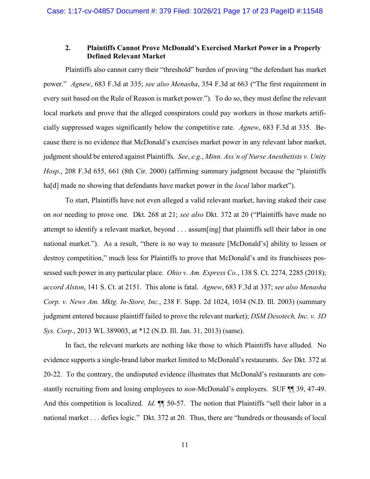### <span id="page-16-4"></span><span id="page-16-1"></span><span id="page-16-0"></span>**2. Plaintiffs Cannot Prove McDonald's Exercised Market Power in a Properly Defined Relevant Market**

Plaintiffs also cannot carry their "threshold" burden of proving "the defendant has market power." *Agnew*, 683 F.3d at 335; *see also Menasha*, 354 F.3d at 663 ("The first requirement in every suit based on the Rule of Reason is market power."). To do so, they must define the relevant local markets and prove that the alleged conspirators could pay workers in those markets artificially suppressed wages significantly below the competitive rate. *Agnew*, 683 F.3d at 335. Because there is no evidence that McDonald's exercises market power in any relevant labor market, judgment should be entered against Plaintiffs. *See*, *e.g.*, *Minn. Ass'n of Nurse Anesthetists v. Unity Hosp.*, 208 F.3d 655, 661 (8th Cir. 2000) (affirming summary judgment because the "plaintiffs ha[d] made no showing that defendants have market power in the *local* labor market").

<span id="page-16-7"></span><span id="page-16-5"></span>To start, Plaintiffs have not even alleged a valid relevant market, having staked their case on *not* needing to prove one. Dkt. 268 at 21; *see also* Dkt. 372 at 20 ("Plaintiffs have made no attempt to identify a relevant market, beyond . . . assum[ing] that plaintiffs sell their labor in one national market."). As a result, "there is no way to measure [McDonald's] ability to lessen or destroy competition," much less for Plaintiffs to prove that McDonald's and its franchisees possessed such power in any particular place. *Ohio v. Am. Express Co.*, 138 S. Ct. 2274, 2285 (2018); *accord Alston*, 141 S. Ct. at 2151. This alone is fatal. *Agnew*, 683 F.3d at 337; *see also Menasha Corp. v. News Am. Mktg. In-Store, Inc.*, 238 F. Supp. 2d 1024, 1034 (N.D. Ill. 2003) (summary judgment entered because plaintiff failed to prove the relevant market); *DSM Desotech, Inc. v. 3D Sys. Corp.*, 2013 WL 389003, at \*12 (N.D. Ill. Jan. 31, 2013) (same).

<span id="page-16-6"></span><span id="page-16-3"></span><span id="page-16-2"></span>In fact, the relevant markets are nothing like those to which Plaintiffs have alluded. No evidence supports a single-brand labor market limited to McDonald's restaurants. *See* Dkt. 372 at 20-22. To the contrary, the undisputed evidence illustrates that McDonald's restaurants are constantly recruiting from and losing employees to *non-*McDonald's employers. SUF ¶¶ 39, 47-49. And this competition is localized. *Id.*  $\P\P$  50-57. The notion that Plaintiffs "sell their labor in a national market . . . defies logic." Dkt. 372 at 20. Thus, there are "hundreds or thousands of local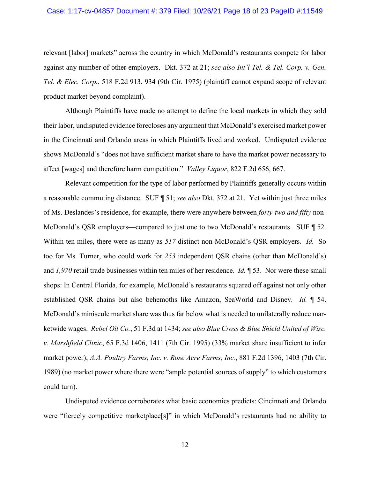### Case: 1:17-cv-04857 Document #: 379 Filed: 10/26/21 Page 18 of 23 PageID #:11549

<span id="page-17-2"></span>relevant [labor] markets" across the country in which McDonald's restaurants compete for labor against any number of other employers. Dkt. 372 at 21; *see also Int'l Tel. & Tel. Corp. v. Gen. Tel. & Elec. Corp.*, 518 F.2d 913, 934 (9th Cir. 1975) (plaintiff cannot expand scope of relevant product market beyond complaint).

Although Plaintiffs have made no attempt to define the local markets in which they sold their labor, undisputed evidence forecloses any argument that McDonald's exercised market power in the Cincinnati and Orlando areas in which Plaintiffs lived and worked. Undisputed evidence shows McDonald's "does not have sufficient market share to have the market power necessary to affect [wages] and therefore harm competition." *Valley Liquor*, 822 F.2d 656, 667.

<span id="page-17-4"></span>Relevant competition for the type of labor performed by Plaintiffs generally occurs within a reasonable commuting distance. SUF ¶ 51; *see also* Dkt. 372 at 21. Yet within just three miles of Ms. Deslandes's residence, for example, there were anywhere between *forty-two and fifty* non-McDonald's QSR employers—compared to just one to two McDonald's restaurants. SUF ¶ 52. Within ten miles, there were as many as *517* distinct non-McDonald's QSR employers. *Id.* So too for Ms. Turner, who could work for *253* independent QSR chains (other than McDonald's) and *1,970* retail trade businesses within ten miles of her residence. *Id.* ¶ 53. Nor were these small shops: In Central Florida, for example, McDonald's restaurants squared off against not only other established QSR chains but also behemoths like Amazon, SeaWorld and Disney. *Id.* ¶ 54. McDonald's miniscule market share was thus far below what is needed to unilaterally reduce marketwide wages. *Rebel Oil Co.*, 51 F.3d at 1434; *see also Blue Cross & Blue Shield United of Wisc. v. Marshfield Clinic*, 65 F.3d 1406, 1411 (7th Cir. 1995) (33% market share insufficient to infer market power); *A.A. Poultry Farms, Inc. v. Rose Acre Farms, Inc.*, 881 F.2d 1396, 1403 (7th Cir. 1989) (no market power where there were "ample potential sources of supply" to which customers could turn).

<span id="page-17-3"></span><span id="page-17-1"></span><span id="page-17-0"></span>Undisputed evidence corroborates what basic economics predicts: Cincinnati and Orlando were "fiercely competitive marketplace[s]" in which McDonald's restaurants had no ability to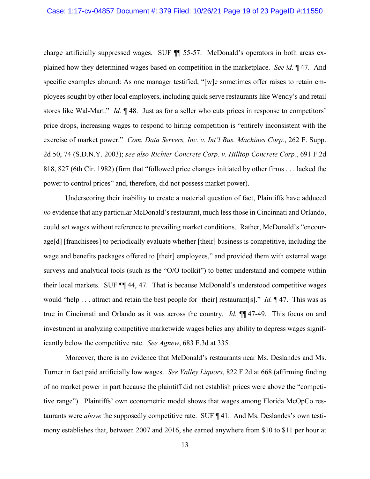charge artificially suppressed wages. SUF ¶¶ 55-57. McDonald's operators in both areas explained how they determined wages based on competition in the marketplace. *See id.* ¶ 47. And specific examples abound: As one manager testified, "[w]e sometimes offer raises to retain employees sought by other local employers, including quick serve restaurants like Wendy's and retail stores like Wal-Mart." *Id.* ¶ 48. Just as for a seller who cuts prices in response to competitors' price drops, increasing wages to respond to hiring competition is "entirely inconsistent with the exercise of market power." *Com. Data Servers, Inc. v. Int'l Bus. Machines Corp.*, 262 F. Supp. 2d 50, 74 (S.D.N.Y. 2003); *see also Richter Concrete Corp. v. Hilltop Concrete Corp.*, 691 F.2d 818, 827 (6th Cir. 1982) (firm that "followed price changes initiated by other firms . . . lacked the power to control prices" and, therefore, did not possess market power).

<span id="page-18-2"></span><span id="page-18-1"></span>Underscoring their inability to create a material question of fact, Plaintiffs have adduced *no* evidence that any particular McDonald's restaurant, much less those in Cincinnati and Orlando, could set wages without reference to prevailing market conditions. Rather, McDonald's "encourage[d] [franchisees] to periodically evaluate whether [their] business is competitive, including the wage and benefits packages offered to [their] employees," and provided them with external wage surveys and analytical tools (such as the "O/O toolkit") to better understand and compete within their local markets. SUF ¶¶ 44, 47. That is because McDonald's understood competitive wages would "help . . . attract and retain the best people for [their] restaurant[s]." *Id.* ¶ 47. This was as true in Cincinnati and Orlando as it was across the country. *Id.* ¶¶ 47-49. This focus on and investment in analyzing competitive marketwide wages belies any ability to depress wages significantly below the competitive rate. *See Agnew*, 683 F.3d at 335.

<span id="page-18-3"></span><span id="page-18-0"></span>Moreover, there is no evidence that McDonald's restaurants near Ms. Deslandes and Ms. Turner in fact paid artificially low wages. *See Valley Liquors*, 822 F.2d at 668 (affirming finding of no market power in part because the plaintiff did not establish prices were above the "competitive range"). Plaintiffs' own econometric model shows that wages among Florida McOpCo restaurants were *above* the supposedly competitive rate. SUF ¶ 41. And Ms. Deslandes's own testimony establishes that, between 2007 and 2016, she earned anywhere from \$10 to \$11 per hour at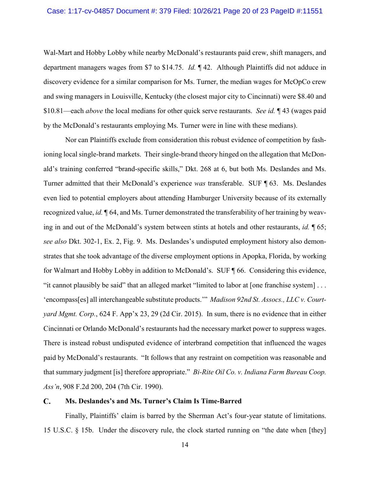Wal-Mart and Hobby Lobby while nearby McDonald's restaurants paid crew, shift managers, and department managers wages from \$7 to \$14.75. *Id.* ¶ 42. Although Plaintiffs did not adduce in discovery evidence for a similar comparison for Ms. Turner, the median wages for McOpCo crew and swing managers in Louisville, Kentucky (the closest major city to Cincinnati) were \$8.40 and \$10.81—each *above* the local medians for other quick serve restaurants. *See id.* ¶ 43 (wages paid by the McDonald's restaurants employing Ms. Turner were in line with these medians).

Nor can Plaintiffs exclude from consideration this robust evidence of competition by fashioning local single-brand markets. Their single-brand theory hinged on the allegation that McDonald's training conferred "brand-specific skills," Dkt. 268 at 6, but both Ms. Deslandes and Ms. Turner admitted that their McDonald's experience *was* transferable. SUF ¶ 63. Ms. Deslandes even lied to potential employers about attending Hamburger University because of its externally recognized value, *id.* ¶ 64, and Ms. Turner demonstrated the transferability of her training by weaving in and out of the McDonald's system between stints at hotels and other restaurants, *id.* ¶ 65; *see also* Dkt. 302-1, Ex. 2, Fig. 9. Ms. Deslandes's undisputed employment history also demonstrates that she took advantage of the diverse employment options in Apopka, Florida, by working for Walmart and Hobby Lobby in addition to McDonald's. SUF ¶ 66. Considering this evidence, "it cannot plausibly be said" that an alleged market "limited to labor at [one franchise system] . . . 'encompass[es] all interchangeable substitute products.'" *Madison 92nd St. Assocs., LLC v. Courtyard Mgmt. Corp.*, 624 F. App'x 23, 29 (2d Cir. 2015). In sum, there is no evidence that in either Cincinnati or Orlando McDonald's restaurants had the necessary market power to suppress wages. There is instead robust undisputed evidence of interbrand competition that influenced the wages paid by McDonald's restaurants. "It follows that any restraint on competition was reasonable and that summary judgment [is] therefore appropriate." *Bi-Rite Oil Co. v. Indiana Farm Bureau Coop. Ass'n*, 908 F.2d 200, 204 (7th Cir. 1990).

#### <span id="page-19-2"></span><span id="page-19-1"></span><span id="page-19-0"></span> $\mathbf{C}$ . **Ms. Deslandes's and Ms. Turner's Claim Is Time-Barred**

<span id="page-19-3"></span>Finally, Plaintiffs' claim is barred by the Sherman Act's four-year statute of limitations. 15 U.S.C. § 15b. Under the discovery rule, the clock started running on "the date when [they]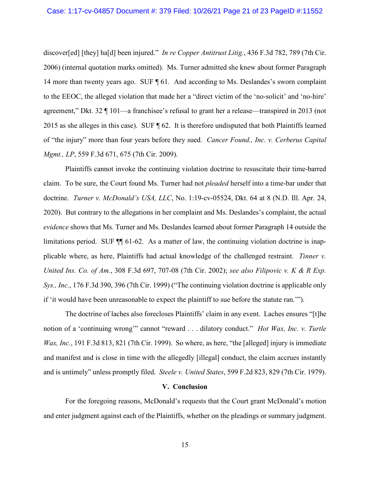<span id="page-20-2"></span>discover[ed] [they] ha[d] been injured." *In re Copper Antitrust Litig.*, 436 F.3d 782, 789 (7th Cir. 2006) (internal quotation marks omitted). Ms. Turner admitted she knew about former Paragraph 14 more than twenty years ago. SUF ¶ 61. And according to Ms. Deslandes's sworn complaint to the EEOC, the alleged violation that made her a "direct victim of the 'no-solicit' and 'no-hire' agreement," Dkt. 32 ¶ 101—a franchisee's refusal to grant her a release—transpired in 2013 (not 2015 as she alleges in this case). SUF ¶ 62. It is therefore undisputed that both Plaintiffs learned of "the injury" more than four years before they sued. *Cancer Found., Inc. v. Cerberus Capital Mgmt., LP*, 559 F.3d 671, 675 (7th Cir. 2009).

<span id="page-20-1"></span>Plaintiffs cannot invoke the continuing violation doctrine to resuscitate their time-barred claim. To be sure, the Court found Ms. Turner had not *pleaded* herself into a time-bar under that doctrine. *Turner v. McDonald's USA, LLC*, No. 1:19-cv-05524, Dkt. 64 at 8 (N.D. Ill. Apr. 24, 2020). But contrary to the allegations in her complaint and Ms. Deslandes's complaint, the actual *evidence* shows that Ms. Turner and Ms. Deslandes learned about former Paragraph 14 outside the limitations period. SUF ¶¶ 61-62. As a matter of law, the continuing violation doctrine is inapplicable where, as here, Plaintiffs had actual knowledge of the challenged restraint. *Tinner v. United Ins. Co. of Am.*, 308 F.3d 697, 707-08 (7th Cir. 2002); *see also Filipovic v. K & R Exp. Sys., Inc.*, 176 F.3d 390, 396 (7th Cir. 1999) ("The continuing violation doctrine is applicable only if 'it would have been unreasonable to expect the plaintiff to sue before the statute ran.'").

The doctrine of laches also forecloses Plaintiffs' claim in any event. Laches ensures "[t]he notion of a 'continuing wrong'" cannot "reward . . . dilatory conduct." *Hot Wax, Inc. v. Turtle Wax, Inc.*, 191 F.3d 813, 821 (7th Cir. 1999). So where, as here, "the [alleged] injury is immediate and manifest and is close in time with the allegedly [illegal] conduct, the claim accrues instantly and is untimely" unless promptly filed. *Steele v. United States*, 599 F.2d 823, 829 (7th Cir. 1979).

#### <span id="page-20-6"></span><span id="page-20-5"></span><span id="page-20-4"></span><span id="page-20-3"></span><span id="page-20-0"></span>**V. Conclusion**

For the foregoing reasons, McDonald's requests that the Court grant McDonald's motion and enter judgment against each of the Plaintiffs, whether on the pleadings or summary judgment.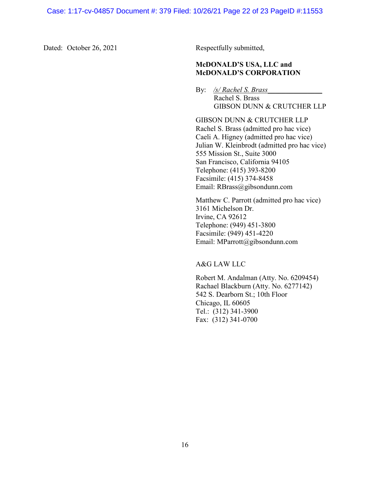Dated: October 26, 2021 Respectfully submitted,

### **McDONALD'S USA, LLC and McDONALD'S CORPORATION**

By: */s/ Rachel S. Brass*\_\_\_\_\_\_\_\_\_\_\_\_\_\_\_ Rachel S. Brass GIBSON DUNN & CRUTCHER LLP

GIBSON DUNN & CRUTCHER LLP Rachel S. Brass (admitted pro hac vice) Caeli A. Higney (admitted pro hac vice) Julian W. Kleinbrodt (admitted pro hac vice) 555 Mission St., Suite 3000 San Francisco, California 94105 Telephone: (415) 393-8200 Facsimile: (415) 374-8458 Email: RBrass@gibsondunn.com

Matthew C. Parrott (admitted pro hac vice) 3161 Michelson Dr. Irvine, CA 92612 Telephone: (949) 451-3800 Facsimile: (949) 451-4220 Email: MParrott@gibsondunn.com

A&G LAW LLC

Robert M. Andalman (Atty. No. 6209454) Rachael Blackburn (Atty. No. 6277142) 542 S. Dearborn St.; 10th Floor Chicago, IL 60605 Tel.: (312) 341-3900 Fax: (312) 341-0700